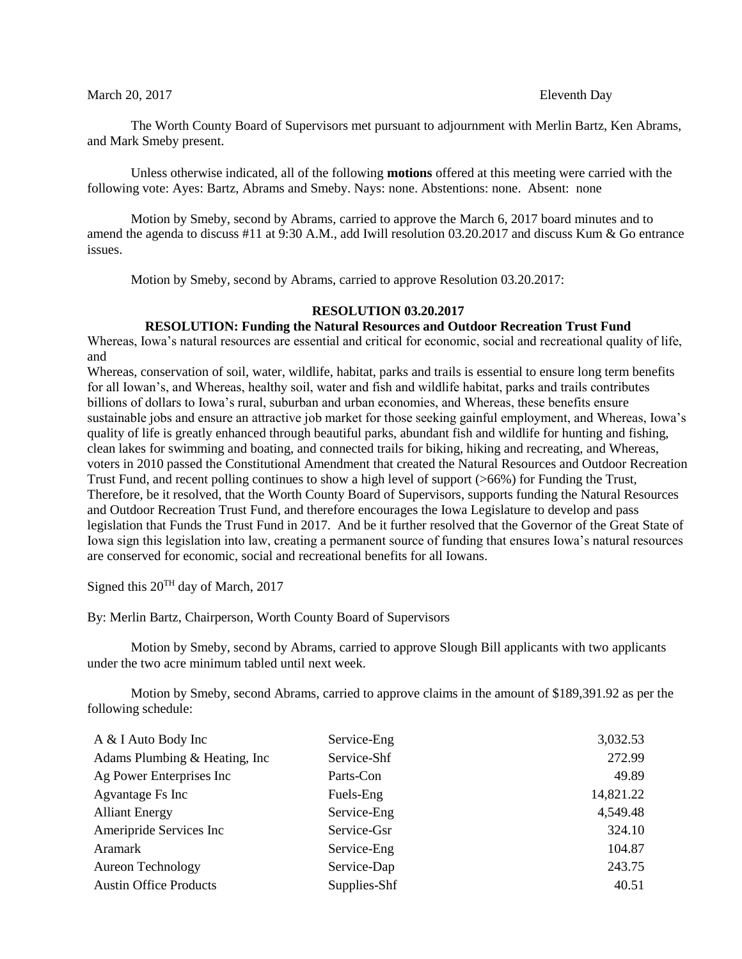## March 20, 2017 **Eleventh Day**

The Worth County Board of Supervisors met pursuant to adjournment with Merlin Bartz, Ken Abrams, and Mark Smeby present.

Unless otherwise indicated, all of the following **motions** offered at this meeting were carried with the following vote: Ayes: Bartz, Abrams and Smeby. Nays: none. Abstentions: none. Absent: none

Motion by Smeby, second by Abrams, carried to approve the March 6, 2017 board minutes and to amend the agenda to discuss #11 at 9:30 A.M., add Iwill resolution 03.20.2017 and discuss Kum & Go entrance issues.

Motion by Smeby, second by Abrams, carried to approve Resolution 03.20.2017:

## **RESOLUTION 03.20.2017**

## **RESOLUTION: Funding the Natural Resources and Outdoor Recreation Trust Fund**

Whereas, Iowa's natural resources are essential and critical for economic, social and recreational quality of life, and

Whereas, conservation of soil, water, wildlife, habitat, parks and trails is essential to ensure long term benefits for all Iowan's, and Whereas, healthy soil, water and fish and wildlife habitat, parks and trails contributes billions of dollars to Iowa's rural, suburban and urban economies, and Whereas, these benefits ensure sustainable jobs and ensure an attractive job market for those seeking gainful employment, and Whereas, Iowa's quality of life is greatly enhanced through beautiful parks, abundant fish and wildlife for hunting and fishing, clean lakes for swimming and boating, and connected trails for biking, hiking and recreating, and Whereas, voters in 2010 passed the Constitutional Amendment that created the Natural Resources and Outdoor Recreation Trust Fund, and recent polling continues to show a high level of support (>66%) for Funding the Trust, Therefore, be it resolved, that the Worth County Board of Supervisors, supports funding the Natural Resources and Outdoor Recreation Trust Fund, and therefore encourages the Iowa Legislature to develop and pass legislation that Funds the Trust Fund in 2017. And be it further resolved that the Governor of the Great State of Iowa sign this legislation into law, creating a permanent source of funding that ensures Iowa's natural resources are conserved for economic, social and recreational benefits for all Iowans.

Signed this 20TH day of March, 2017

By: Merlin Bartz, Chairperson, Worth County Board of Supervisors

Motion by Smeby, second by Abrams, carried to approve Slough Bill applicants with two applicants under the two acre minimum tabled until next week.

Motion by Smeby, second Abrams, carried to approve claims in the amount of \$189,391.92 as per the following schedule:

| A & I Auto Body Inc            | Service-Eng  | 3,032.53  |
|--------------------------------|--------------|-----------|
| Adams Plumbing & Heating, Inc. | Service-Shf  | 272.99    |
| Ag Power Enterprises Inc       | Parts-Con    | 49.89     |
| Agvantage Fs Inc               | Fuels-Eng    | 14,821.22 |
| <b>Alliant Energy</b>          | Service-Eng  | 4,549.48  |
| Ameripride Services Inc        | Service-Gsr  | 324.10    |
| Aramark                        | Service-Eng  | 104.87    |
| <b>Aureon Technology</b>       | Service-Dap  | 243.75    |
| <b>Austin Office Products</b>  | Supplies-Shf | 40.51     |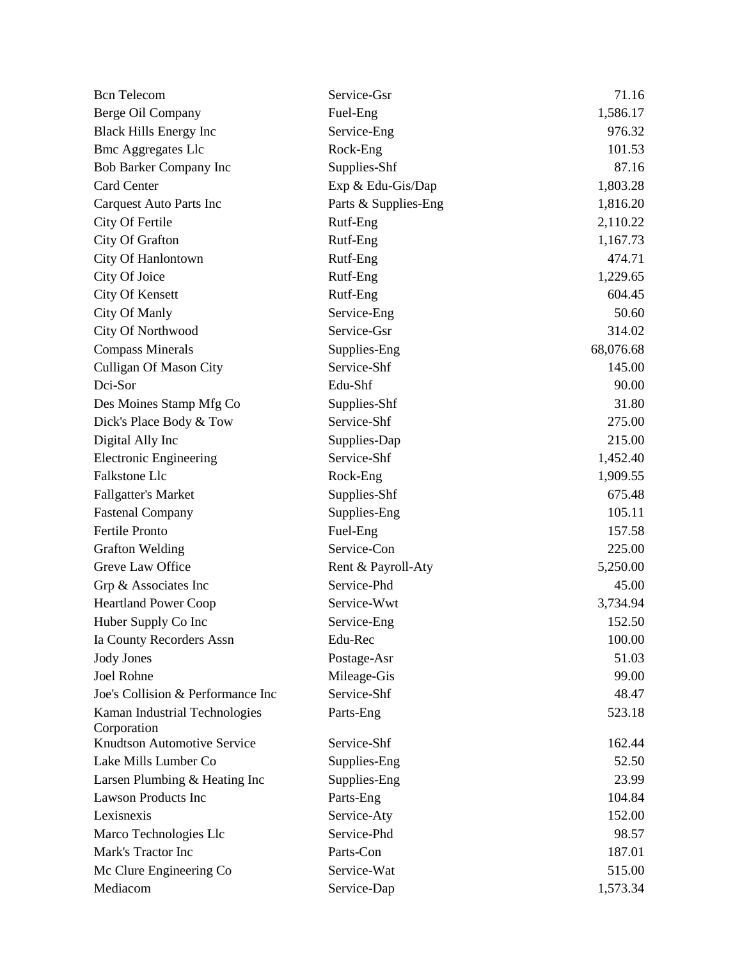| <b>Bcn</b> Telecom                           | Service-Gsr          | 71.16     |
|----------------------------------------------|----------------------|-----------|
| Berge Oil Company                            | Fuel-Eng             | 1,586.17  |
| <b>Black Hills Energy Inc</b>                | Service-Eng          | 976.32    |
| <b>Bmc Aggregates Llc</b>                    | Rock-Eng             | 101.53    |
| Bob Barker Company Inc                       | Supplies-Shf         | 87.16     |
| <b>Card Center</b>                           | Exp & Edu-Gis/Dap    | 1,803.28  |
| Carquest Auto Parts Inc                      | Parts & Supplies-Eng | 1,816.20  |
| City Of Fertile                              | Rutf-Eng             | 2,110.22  |
| City Of Grafton                              | Rutf-Eng             | 1,167.73  |
| City Of Hanlontown                           | Rutf-Eng             | 474.71    |
| City Of Joice                                | Rutf-Eng             | 1,229.65  |
| <b>City Of Kensett</b>                       | Rutf-Eng             | 604.45    |
| City Of Manly                                | Service-Eng          | 50.60     |
| City Of Northwood                            | Service-Gsr          | 314.02    |
| <b>Compass Minerals</b>                      | Supplies-Eng         | 68,076.68 |
| <b>Culligan Of Mason City</b>                | Service-Shf          | 145.00    |
| Dci-Sor                                      | Edu-Shf              | 90.00     |
| Des Moines Stamp Mfg Co                      | Supplies-Shf         | 31.80     |
| Dick's Place Body & Tow                      | Service-Shf          | 275.00    |
| Digital Ally Inc                             | Supplies-Dap         | 215.00    |
| <b>Electronic Engineering</b>                | Service-Shf          | 1,452.40  |
| Falkstone Llc                                | Rock-Eng             | 1,909.55  |
| <b>Fallgatter's Market</b>                   | Supplies-Shf         | 675.48    |
| <b>Fastenal Company</b>                      | Supplies-Eng         | 105.11    |
| Fertile Pronto                               | Fuel-Eng             | 157.58    |
| <b>Grafton Welding</b>                       | Service-Con          | 225.00    |
| Greve Law Office                             | Rent & Payroll-Aty   | 5,250.00  |
| Grp & Associates Inc                         | Service-Phd          | 45.00     |
| <b>Heartland Power Coop</b>                  | Service-Wwt          | 3,734.94  |
| Huber Supply Co Inc                          | Service-Eng          | 152.50    |
| Ia County Recorders Assn                     | Edu-Rec              | 100.00    |
| <b>Jody Jones</b>                            | Postage-Asr          | 51.03     |
| <b>Joel Rohne</b>                            | Mileage-Gis          | 99.00     |
| Joe's Collision & Performance Inc            | Service-Shf          | 48.47     |
| Kaman Industrial Technologies<br>Corporation | Parts-Eng            | 523.18    |
| <b>Knudtson Automotive Service</b>           | Service-Shf          | 162.44    |
| Lake Mills Lumber Co                         | Supplies-Eng         | 52.50     |
| Larsen Plumbing & Heating Inc                | Supplies-Eng         | 23.99     |
| <b>Lawson Products Inc</b>                   | Parts-Eng            | 104.84    |
| Lexisnexis                                   | Service-Aty          | 152.00    |
| Marco Technologies Llc                       | Service-Phd          | 98.57     |
| Mark's Tractor Inc                           | Parts-Con            | 187.01    |
| Mc Clure Engineering Co                      | Service-Wat          | 515.00    |
| Mediacom                                     | Service-Dap          | 1,573.34  |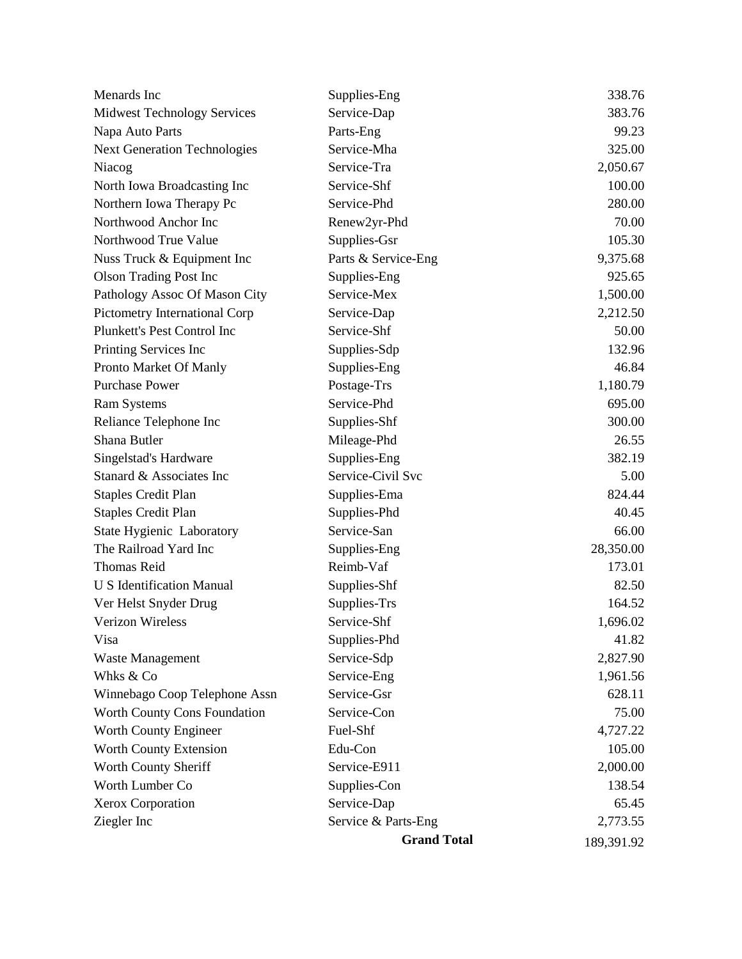|                                     | <b>Grand Total</b>  | 189,391.92 |
|-------------------------------------|---------------------|------------|
| Ziegler Inc                         | Service & Parts-Eng | 2,773.55   |
| Xerox Corporation                   | Service-Dap         | 65.45      |
| Worth Lumber Co                     | Supplies-Con        | 138.54     |
| Worth County Sheriff                | Service-E911        | 2,000.00   |
| Worth County Extension              | Edu-Con             | 105.00     |
| Worth County Engineer               | Fuel-Shf            | 4,727.22   |
| Worth County Cons Foundation        | Service-Con         | 75.00      |
| Winnebago Coop Telephone Assn       | Service-Gsr         | 628.11     |
| Whks & Co                           | Service-Eng         | 1,961.56   |
| Waste Management                    | Service-Sdp         | 2,827.90   |
| Visa                                | Supplies-Phd        | 41.82      |
| <b>Verizon Wireless</b>             | Service-Shf         | 1,696.02   |
| Ver Helst Snyder Drug               | Supplies-Trs        | 164.52     |
| <b>U S Identification Manual</b>    | Supplies-Shf        | 82.50      |
| <b>Thomas Reid</b>                  | Reimb-Vaf           | 173.01     |
| The Railroad Yard Inc               | Supplies-Eng        | 28,350.00  |
| State Hygienic Laboratory           | Service-San         | 66.00      |
| <b>Staples Credit Plan</b>          | Supplies-Phd        | 40.45      |
| <b>Staples Credit Plan</b>          | Supplies-Ema        | 824.44     |
| Stanard & Associates Inc            | Service-Civil Svc   | 5.00       |
| Singelstad's Hardware               | Supplies-Eng        | 382.19     |
| Shana Butler                        | Mileage-Phd         | 26.55      |
| Reliance Telephone Inc              | Supplies-Shf        | 300.00     |
| <b>Ram Systems</b>                  | Service-Phd         | 695.00     |
| <b>Purchase Power</b>               | Postage-Trs         | 1,180.79   |
| Pronto Market Of Manly              | Supplies-Eng        | 46.84      |
| Printing Services Inc               | Supplies-Sdp        | 132.96     |
| Plunkett's Pest Control Inc         | Service-Shf         | 50.00      |
| Pictometry International Corp       | Service-Dap         | 2,212.50   |
| Pathology Assoc Of Mason City       | Service-Mex         | 1,500.00   |
| <b>Olson Trading Post Inc</b>       | Supplies-Eng        | 925.65     |
| Nuss Truck & Equipment Inc          | Parts & Service-Eng | 9,375.68   |
| Northwood True Value                | Supplies-Gsr        | 105.30     |
| Northwood Anchor Inc                | Renew2yr-Phd        | 70.00      |
| Northern Iowa Therapy Pc            | Service-Phd         | 280.00     |
| North Iowa Broadcasting Inc         | Service-Shf         | 100.00     |
| Niacog                              | Service-Tra         | 2,050.67   |
| <b>Next Generation Technologies</b> | Service-Mha         | 325.00     |
| Napa Auto Parts                     | Parts-Eng           | 99.23      |
| <b>Midwest Technology Services</b>  | Service-Dap         | 383.76     |
| Menards Inc                         | Supplies-Eng        | 338.76     |